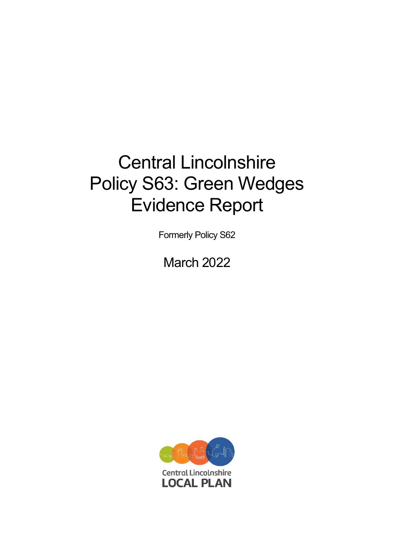# Central Lincolnshire Policy S63: Green Wedges Evidence Report

Formerly Policy S62

March 2022

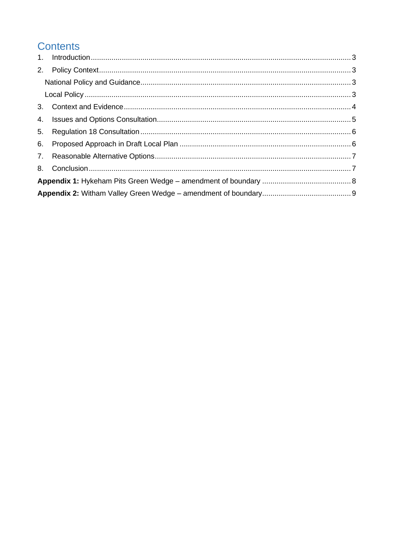## **Contents**

| 4. |  |  |  |
|----|--|--|--|
| 5. |  |  |  |
|    |  |  |  |
|    |  |  |  |
|    |  |  |  |
|    |  |  |  |
|    |  |  |  |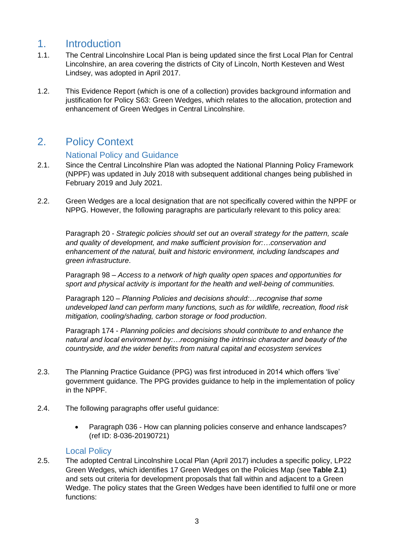#### <span id="page-2-0"></span>1. Introduction

- 1.1. The Central Lincolnshire Local Plan is being updated since the first Local Plan for Central Lincolnshire, an area covering the districts of City of Lincoln, North Kesteven and West Lindsey, was adopted in April 2017.
- 1.2. This Evidence Report (which is one of a collection) provides background information and justification for Policy S63: Green Wedges, which relates to the allocation, protection and enhancement of Green Wedges in Central Lincolnshire.

## <span id="page-2-1"></span>2. Policy Context

#### National Policy and Guidance

- <span id="page-2-2"></span>2.1. Since the Central Lincolnshire Plan was adopted the National Planning Policy Framework (NPPF) was updated in July 2018 with subsequent additional changes being published in February 2019 and July 2021.
- 2.2. Green Wedges are a local designation that are not specifically covered within the NPPF or NPPG. However, the following paragraphs are particularly relevant to this policy area:

Paragraph 20 - *Strategic policies should set out an overall strategy for the pattern, scale and quality of development, and make sufficient provision for:…conservation and enhancement of the natural, built and historic environment, including landscapes and green infrastructure*.

Paragraph 98 – *Access to a network of high quality open spaces and opportunities for sport and physical activity is important for the health and well-being of communities.*

Paragraph 120 – *Planning Policies and decisions should:…recognise that some undeveloped land can perform many functions, such as for wildlife, recreation, flood risk mitigation, cooling/shading, carbon storage or food production*.

Paragraph 174 - *Planning policies and decisions should contribute to and enhance the natural and local environment by:…recognising the intrinsic character and beauty of the countryside, and the wider benefits from natural capital and ecosystem services*

- 2.3. The Planning Practice Guidance (PPG) was first introduced in 2014 which offers 'live' government guidance. The PPG provides guidance to help in the implementation of policy in the NPPF.
- 2.4. The following paragraphs offer useful guidance:
	- Paragraph 036 How can planning policies conserve and enhance landscapes? (ref ID: 8-036-20190721)

#### Local Policy

<span id="page-2-3"></span>2.5. The adopted Central Lincolnshire Local Plan (April 2017) includes a specific policy, LP22 Green Wedges, which identifies 17 Green Wedges on the Policies Map (see **Table 2.1**) and sets out criteria for development proposals that fall within and adjacent to a Green Wedge. The policy states that the Green Wedges have been identified to fulfil one or more functions: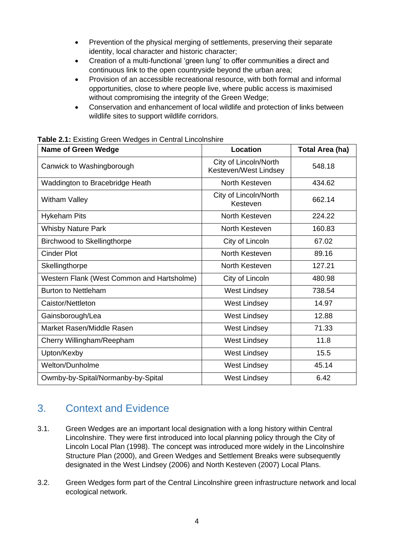- Prevention of the physical merging of settlements, preserving their separate identity, local character and historic character;
- Creation of a multi-functional 'green lung' to offer communities a direct and continuous link to the open countryside beyond the urban area;
- Provision of an accessible recreational resource, with both formal and informal opportunities, close to where people live, where public access is maximised without compromising the integrity of the Green Wedge;
- Conservation and enhancement of local wildlife and protection of links between wildlife sites to support wildlife corridors.

| <b>Table 2.1: Existing Green Wedges in Central Lincolnshire</b> |  |
|-----------------------------------------------------------------|--|
|                                                                 |  |

| <b>Name of Green Wedge</b>                 | Location                                       | <b>Total Area (ha)</b> |
|--------------------------------------------|------------------------------------------------|------------------------|
| Canwick to Washingborough                  | City of Lincoln/North<br>Kesteven/West Lindsey | 548.18                 |
| Waddington to Bracebridge Heath            | North Kesteven                                 | 434.62                 |
| <b>Witham Valley</b>                       | City of Lincoln/North<br>Kesteven              | 662.14                 |
| <b>Hykeham Pits</b>                        | North Kesteven                                 | 224.22                 |
| <b>Whisby Nature Park</b>                  | North Kesteven                                 | 160.83                 |
| Birchwood to Skellingthorpe                | City of Lincoln                                | 67.02                  |
| <b>Cinder Plot</b>                         | North Kesteven                                 | 89.16                  |
| Skellingthorpe                             | North Kesteven                                 | 127.21                 |
| Western Flank (West Common and Hartsholme) | City of Lincoln                                | 480.98                 |
| <b>Burton to Nettleham</b>                 | <b>West Lindsey</b>                            | 738.54                 |
| Caistor/Nettleton                          | West Lindsey                                   | 14.97                  |
| Gainsborough/Lea                           | <b>West Lindsey</b>                            | 12.88                  |
| Market Rasen/Middle Rasen                  | <b>West Lindsey</b>                            | 71.33                  |
| Cherry Willingham/Reepham                  | <b>West Lindsey</b>                            | 11.8                   |
| Upton/Kexby                                | <b>West Lindsey</b>                            | 15.5                   |
| Welton/Dunholme                            | <b>West Lindsey</b>                            | 45.14                  |
| Owmby-by-Spital/Normanby-by-Spital         | <b>West Lindsey</b>                            | 6.42                   |

## <span id="page-3-0"></span>3. Context and Evidence

- 3.1. Green Wedges are an important local designation with a long history within Central Lincolnshire. They were first introduced into local planning policy through the City of Lincoln Local Plan (1998). The concept was introduced more widely in the Lincolnshire Structure Plan (2000), and Green Wedges and Settlement Breaks were subsequently designated in the West Lindsey (2006) and North Kesteven (2007) Local Plans.
- 3.2. Green Wedges form part of the Central Lincolnshire green infrastructure network and local ecological network.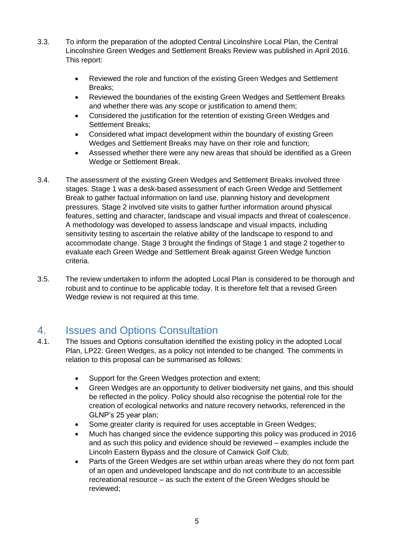- 3.3. To inform the preparation of the adopted Central Lincolnshire Local Plan, the Central Lincolnshire Green Wedges and Settlement Breaks Review was published in April 2016. This report:
	- Reviewed the role and function of the existing Green Wedges and Settlement Breaks;
	- Reviewed the boundaries of the existing Green Wedges and Settlement Breaks and whether there was any scope or justification to amend them;
	- Considered the justification for the retention of existing Green Wedges and Settlement Breaks;
	- Considered what impact development within the boundary of existing Green Wedges and Settlement Breaks may have on their role and function;
	- Assessed whether there were any new areas that should be identified as a Green Wedge or Settlement Break.
- 3.4. The assessment of the existing Green Wedges and Settlement Breaks involved three stages. Stage 1 was a desk-based assessment of each Green Wedge and Settlement Break to gather factual information on land use, planning history and development pressures. Stage 2 involved site visits to gather further information around physical features, setting and character, landscape and visual impacts and threat of coalescence. A methodology was developed to assess landscape and visual impacts, including sensitivity testing to ascertain the relative ability of the landscape to respond to and accommodate change. Stage 3 brought the findings of Stage 1 and stage 2 together to evaluate each Green Wedge and Settlement Break against Green Wedge function criteria.
- 3.5. The review undertaken to inform the adopted Local Plan is considered to be thorough and robust and to continue to be applicable today. It is therefore felt that a revised Green Wedge review is not required at this time.

## <span id="page-4-0"></span>4. Issues and Options Consultation

- 4.1. The Issues and Options consultation identified the existing policy in the adopted Local Plan, LP22: Green Wedges, as a policy not intended to be changed. The comments in relation to this proposal can be summarised as follows:
	- Support for the Green Wedges protection and extent;
	- Green Wedges are an opportunity to deliver biodiversity net gains, and this should be reflected in the policy. Policy should also recognise the potential role for the creation of ecological networks and nature recovery networks, referenced in the GLNP's 25 year plan;
	- Some greater clarity is required for uses acceptable in Green Wedges;
	- Much has changed since the evidence supporting this policy was produced in 2016 and as such this policy and evidence should be reviewed – examples include the Lincoln Eastern Bypass and the closure of Canwick Golf Club;
	- Parts of the Green Wedges are set within urban areas where they do not form part of an open and undeveloped landscape and do not contribute to an accessible recreational resource – as such the extent of the Green Wedges should be reviewed;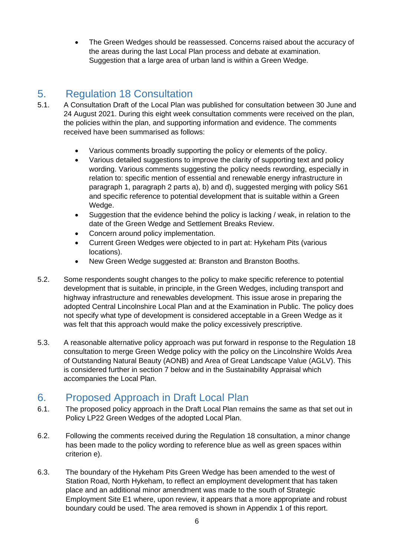• The Green Wedges should be reassessed. Concerns raised about the accuracy of the areas during the last Local Plan process and debate at examination. Suggestion that a large area of urban land is within a Green Wedge.

#### <span id="page-5-0"></span>5. Regulation 18 Consultation

- 5.1. A Consultation Draft of the Local Plan was published for consultation between 30 June and 24 August 2021. During this eight week consultation comments were received on the plan, the policies within the plan, and supporting information and evidence. The comments received have been summarised as follows:
	- Various comments broadly supporting the policy or elements of the policy.
	- Various detailed suggestions to improve the clarity of supporting text and policy wording. Various comments suggesting the policy needs rewording, especially in relation to: specific mention of essential and renewable energy infrastructure in paragraph 1, paragraph 2 parts a), b) and d), suggested merging with policy S61 and specific reference to potential development that is suitable within a Green Wedge.
	- Suggestion that the evidence behind the policy is lacking / weak, in relation to the date of the Green Wedge and Settlement Breaks Review.
	- Concern around policy implementation.
	- Current Green Wedges were objected to in part at: Hykeham Pits (various locations).
	- New Green Wedge suggested at: Branston and Branston Booths.
- 5.2. Some respondents sought changes to the policy to make specific reference to potential development that is suitable, in principle, in the Green Wedges, including transport and highway infrastructure and renewables development. This issue arose in preparing the adopted Central Lincolnshire Local Plan and at the Examination in Public. The policy does not specify what type of development is considered acceptable in a Green Wedge as it was felt that this approach would make the policy excessively prescriptive.
- 5.3. A reasonable alternative policy approach was put forward in response to the Regulation 18 consultation to merge Green Wedge policy with the policy on the Lincolnshire Wolds Area of Outstanding Natural Beauty (AONB) and Area of Great Landscape Value (AGLV). This is considered further in section 7 below and in the Sustainability Appraisal which accompanies the Local Plan.

#### <span id="page-5-1"></span>6. Proposed Approach in Draft Local Plan

- 6.1. The proposed policy approach in the Draft Local Plan remains the same as that set out in Policy LP22 Green Wedges of the adopted Local Plan.
- 6.2. Following the comments received during the Regulation 18 consultation, a minor change has been made to the policy wording to reference blue as well as green spaces within criterion e).
- 6.3. The boundary of the Hykeham Pits Green Wedge has been amended to the west of Station Road, North Hykeham, to reflect an employment development that has taken place and an additional minor amendment was made to the south of Strategic Employment Site E1 where, upon review, it appears that a more appropriate and robust boundary could be used. The area removed is shown in Appendix 1 of this report.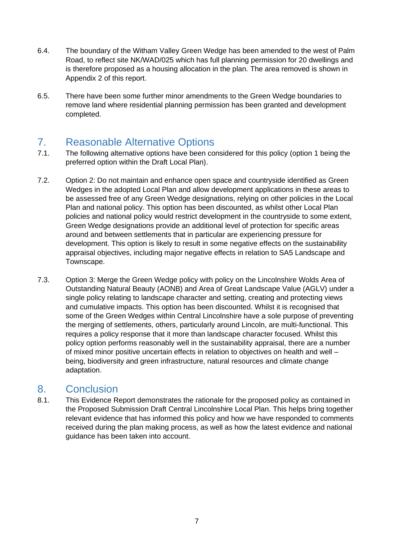- 6.4. The boundary of the Witham Valley Green Wedge has been amended to the west of Palm Road, to reflect site NK/WAD/025 which has full planning permission for 20 dwellings and is therefore proposed as a housing allocation in the plan. The area removed is shown in Appendix 2 of this report.
- 6.5. There have been some further minor amendments to the Green Wedge boundaries to remove land where residential planning permission has been granted and development completed.

### <span id="page-6-0"></span>7. Reasonable Alternative Options

- 7.1. The following alternative options have been considered for this policy (option 1 being the preferred option within the Draft Local Plan).
- 7.2. Option 2: Do not maintain and enhance open space and countryside identified as Green Wedges in the adopted Local Plan and allow development applications in these areas to be assessed free of any Green Wedge designations, relying on other policies in the Local Plan and national policy. This option has been discounted, as whilst other Local Plan policies and national policy would restrict development in the countryside to some extent, Green Wedge designations provide an additional level of protection for specific areas around and between settlements that in particular are experiencing pressure for development. This option is likely to result in some negative effects on the sustainability appraisal objectives, including major negative effects in relation to SA5 Landscape and Townscape.
- 7.3. Option 3: Merge the Green Wedge policy with policy on the Lincolnshire Wolds Area of Outstanding Natural Beauty (AONB) and Area of Great Landscape Value (AGLV) under a single policy relating to landscape character and setting, creating and protecting views and cumulative impacts. This option has been discounted. Whilst it is recognised that some of the Green Wedges within Central Lincolnshire have a sole purpose of preventing the merging of settlements, others, particularly around Lincoln, are multi-functional. This requires a policy response that it more than landscape character focused. Whilst this policy option performs reasonably well in the sustainability appraisal, there are a number of mixed minor positive uncertain effects in relation to objectives on health and well – being, biodiversity and green infrastructure, natural resources and climate change adaptation.

#### <span id="page-6-1"></span>8. Conclusion

8.1. This Evidence Report demonstrates the rationale for the proposed policy as contained in the Proposed Submission Draft Central Lincolnshire Local Plan. This helps bring together relevant evidence that has informed this policy and how we have responded to comments received during the plan making process, as well as how the latest evidence and national guidance has been taken into account.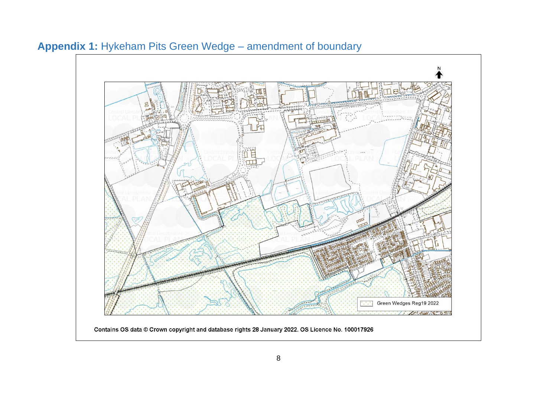<span id="page-7-0"></span>

# **Appendix 1:** Hykeham Pits Green Wedge – amendment of boundary